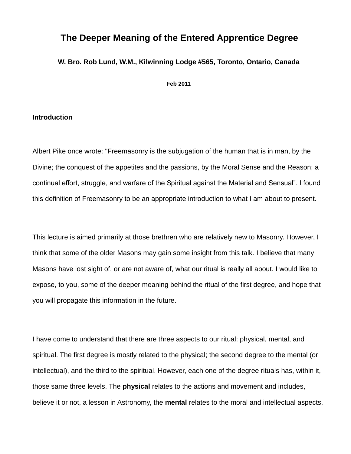# **The Deeper Meaning of the Entered Apprentice Degree**

**W. Bro. Rob Lund, W.M., Kilwinning Lodge #565, Toronto, Ontario, Canada**

**Feb 2011**

### **Introduction**

Albert Pike once wrote: "Freemasonry is the subjugation of the human that is in man, by the Divine; the conquest of the appetites and the passions, by the Moral Sense and the Reason; a continual effort, struggle, and warfare of the Spiritual against the Material and Sensual". I found this definition of Freemasonry to be an appropriate introduction to what I am about to present.

This lecture is aimed primarily at those brethren who are relatively new to Masonry. However, I think that some of the older Masons may gain some insight from this talk. I believe that many Masons have lost sight of, or are not aware of, what our ritual is really all about. I would like to expose, to you, some of the deeper meaning behind the ritual of the first degree, and hope that you will propagate this information in the future.

I have come to understand that there are three aspects to our ritual: physical, mental, and spiritual. The first degree is mostly related to the physical; the second degree to the mental (or intellectual), and the third to the spiritual. However, each one of the degree rituals has, within it, those same three levels. The **physical** relates to the actions and movement and includes, believe it or not, a lesson in Astronomy, the **mental** relates to the moral and intellectual aspects,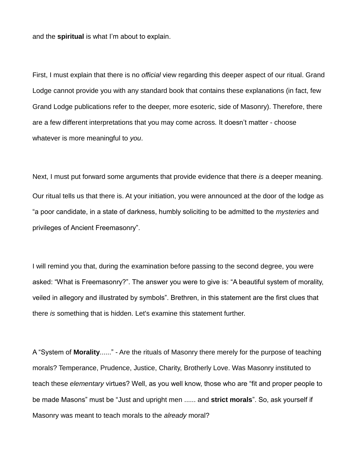and the **spiritual** is what I'm about to explain.

First, I must explain that there is no *official* view regarding this deeper aspect of our ritual. Grand Lodge cannot provide you with any standard book that contains these explanations (in fact, few Grand Lodge publications refer to the deeper, more esoteric, side of Masonry). Therefore, there are a few different interpretations that you may come across. It doesn't matter - choose whatever is more meaningful to *you*.

Next, I must put forward some arguments that provide evidence that there *is* a deeper meaning. Our ritual tells us that there is. At your initiation, you were announced at the door of the lodge as "a poor candidate, in a state of darkness, humbly soliciting to be admitted to the *mysteries* and privileges of Ancient Freemasonry".

I will remind you that, during the examination before passing to the second degree, you were asked: "What is Freemasonry?". The answer you were to give is: "A beautiful system of morality, veiled in allegory and illustrated by symbols". Brethren, in this statement are the first clues that there *is* something that is hidden. Let's examine this statement further.

A "System of **Morality**......" - Are the rituals of Masonry there merely for the purpose of teaching morals? Temperance, Prudence, Justice, Charity, Brotherly Love. Was Masonry instituted to teach these *elementary* virtues? Well, as you well know, those who are "fit and proper people to be made Masons" must be "Just and upright men ...... and **strict morals**". So, ask yourself if Masonry was meant to teach morals to the *already* moral?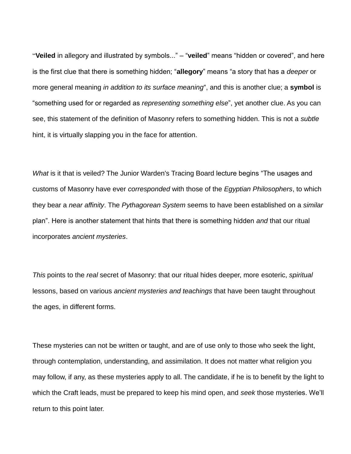"**Veiled** in allegory and illustrated by symbols..." – "**veiled**" means "hidden or covered", and here is the first clue that there is something hidden; "**allegory**" means "a story that has a *deeper* or more general meaning *in addition to its surface meaning*", and this is another clue; a **symbol** is "something used for or regarded as *representing something else*", yet another clue. As you can see, this statement of the definition of Masonry refers to something hidden. This is not a *subtle* hint, it is virtually slapping you in the face for attention.

*What* is it that is veiled? The Junior Warden's Tracing Board lecture begins "The usages and customs of Masonry have ever *corresponded* with those of the *Egyptian Philosophers*, to which they bear a *near affinity*. The *Pythagorean System* seems to have been established on a *similar* plan". Here is another statement that hints that there is something hidden *and* that our ritual incorporates *ancient mysteries*.

*This* points to the *real* secret of Masonry: that our ritual hides deeper, more esoteric, *spiritual* lessons, based on various *ancient mysteries and teachings* that have been taught throughout the ages, in different forms.

These mysteries can not be written or taught, and are of use only to those who seek the light, through contemplation, understanding, and assimilation. It does not matter what religion you may follow, if any, as these mysteries apply to all. The candidate, if he is to benefit by the light to which the Craft leads, must be prepared to keep his mind open, and *seek* those mysteries. We'll return to this point later.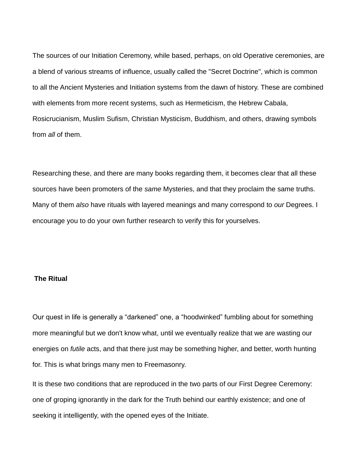The sources of our Initiation Ceremony, while based, perhaps, on old Operative ceremonies, are a blend of various streams of influence, usually called the "Secret Doctrine", which is common to all the Ancient Mysteries and Initiation systems from the dawn of history. These are combined with elements from more recent systems, such as Hermeticism, the Hebrew Cabala, Rosicrucianism, Muslim Sufism, Christian Mysticism, Buddhism, and others, drawing symbols from *all* of them.

Researching these, and there are many books regarding them, it becomes clear that all these sources have been promoters of the *same* Mysteries, and that they proclaim the same truths. Many of them *also* have rituals with layered meanings and many correspond to *our* Degrees. I encourage you to do your own further research to verify this for yourselves.

# **The Ritual**

Our quest in life is generally a "darkened" one, a "hoodwinked" fumbling about for something more meaningful but we don't know what, until we eventually realize that we are wasting our energies on *futile* acts, and that there just may be something higher, and better, worth hunting for. This is what brings many men to Freemasonry.

It is these two conditions that are reproduced in the two parts of our First Degree Ceremony: one of groping ignorantly in the dark for the Truth behind our earthly existence; and one of seeking it intelligently, with the opened eyes of the Initiate.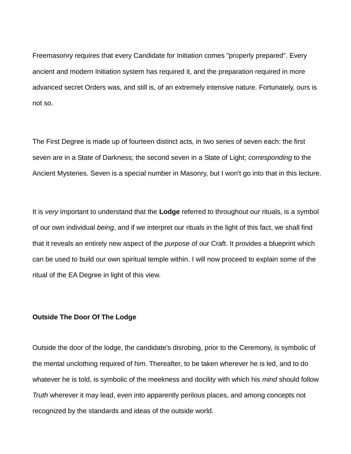Freemasonry requires that every Candidate for Initiation comes "properly prepared". Every ancient and modern Initiation system has required it, and the preparation required in more advanced secret Orders was, and still is, of an extremely intensive nature. Fortunately, ours is not so.

The First Degree is made up of fourteen distinct acts, in two series of seven each: the first seven are in a State of Darkness; the second seven in a State of Light; *corresponding* to the Ancient Mysteries. Seven is a special number in Masonry, but I won't go into that in this lecture.

It is *very* important to understand that the **Lodge** referred to throughout our rituals, is a symbol of our own individual *being*, and if we interpret our rituals in the light of this fact, we shall find that it reveals an entirely new aspect of the *purpose* of our Craft. It provides a blueprint which can be used to build our own spiritual temple within. I will now proceed to explain some of the ritual of the EA Degree in light of this view.

#### **Outside The Door Of The Lodge**

Outside the door of the lodge, the candidate's disrobing, prior to the Ceremony, is symbolic of the mental unclothing required of him. Thereafter, to be taken wherever he is led, and to do whatever he is told, is symbolic of the meekness and docility with which his *mind* should follow *Truth* wherever it may lead, even into apparently perilous places, and among concepts not recognized by the standards and ideas of the outside world.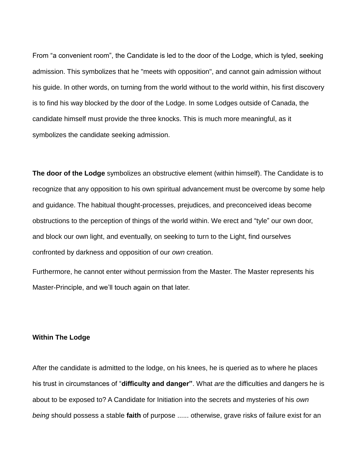From "a convenient room", the Candidate is led to the door of the Lodge, which is tyled, seeking admission. This symbolizes that he "meets with opposition", and cannot gain admission without his guide. In other words, on turning from the world without to the world within, his first discovery is to find his way blocked by the door of the Lodge. In some Lodges outside of Canada, the candidate himself must provide the three knocks. This is much more meaningful, as it symbolizes the candidate seeking admission.

**The door of the Lodge** symbolizes an obstructive element (within himself). The Candidate is to recognize that any opposition to his own spiritual advancement must be overcome by some help and guidance. The habitual thought-processes, prejudices, and preconceived ideas become obstructions to the perception of things of the world within. We erect and "tyle" our own door, and block our own light, and eventually, on seeking to turn to the Light, find ourselves confronted by darkness and opposition of our *own* creation.

Furthermore, he cannot enter without permission from the Master. The Master represents his Master-Principle, and we'll touch again on that later.

# **Within The Lodge**

After the candidate is admitted to the lodge, on his knees, he is queried as to where he places his trust in circumstances of "**difficulty and danger"**. What *are* the difficulties and dangers he is about to be exposed to? A Candidate for Initiation into the secrets and mysteries of his *own being* should possess a stable **faith** of purpose ...... otherwise, grave risks of failure exist for an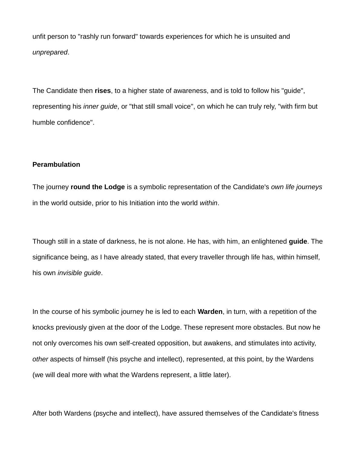unfit person to "rashly run forward" towards experiences for which he is unsuited and *unprepared*.

The Candidate then **rises**, to a higher state of awareness, and is told to follow his "guide", representing his *inner guide*, or "that still small voice", on which he can truly rely, "with firm but humble confidence".

## **Perambulation**

The journey **round the Lodge** is a symbolic representation of the Candidate's *own life journeys* in the world outside, prior to his Initiation into the world *within*.

Though still in a state of darkness, he is not alone. He has, with him, an enlightened **guide**. The significance being, as I have already stated, that every traveller through life has, within himself, his own *invisible guide*.

In the course of his symbolic journey he is led to each **Warden**, in turn, with a repetition of the knocks previously given at the door of the Lodge. These represent more obstacles. But now he not only overcomes his own self-created opposition, but awakens, and stimulates into activity, *other* aspects of himself (his psyche and intellect), represented, at this point, by the Wardens (we will deal more with what the Wardens represent, a little later).

After both Wardens (psyche and intellect), have assured themselves of the Candidate's fitness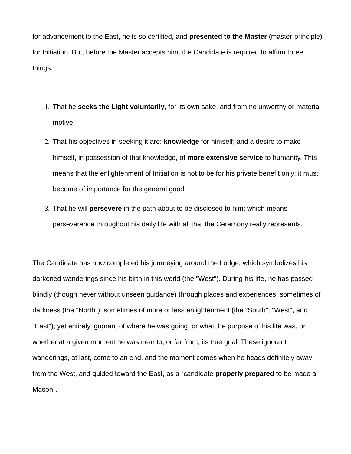for advancement to the East, he is so certified, and **presented to the Master** (master-principle) for Initiation. But, before the Master accepts him, the Candidate is required to affirm three things:

- 1. That he **seeks the Light voluntarily**, for its own sake, and from no unworthy or material motive.
- 2. That his objectives in seeking it are: **knowledge** for himself; and a desire to make himself, in possession of that knowledge, of **more extensive service** to humanity. This means that the enlightenment of Initiation is not to be for his private benefit only; it must become of importance for the general good.
- 3. That he will **persevere** in the path about to be disclosed to him; which means perseverance throughout his daily life with all that the Ceremony really represents.

The Candidate has now completed his journeying around the Lodge, which symbolizes his darkened wanderings since his birth in this world (the "West"). During his life, he has passed blindly (though never without unseen guidance) through places and experiences: sometimes of darkness (the "North"); sometimes of more or less enlightenment (the "South", "West", and "East"); yet entirely ignorant of where he was going, or what the purpose of his life was, or whether at a given moment he was near to, or far from, its true goal. These ignorant wanderings, at last, come to an end, and the moment comes when he heads definitely away from the West, and guided toward the East, as a "candidate **properly prepared** to be made a Mason".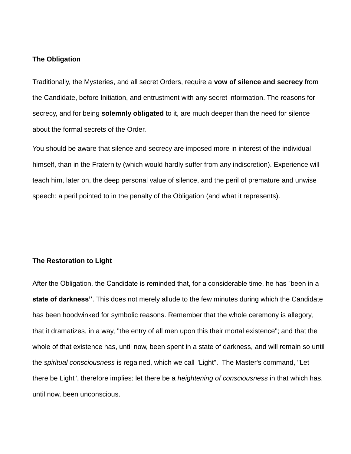#### **The Obligation**

Traditionally, the Mysteries, and all secret Orders, require a **vow of silence and secrecy** from the Candidate, before Initiation, and entrustment with any secret information. The reasons for secrecy, and for being **solemnly obligated** to it, are much deeper than the need for silence about the formal secrets of the Order.

You should be aware that silence and secrecy are imposed more in interest of the individual himself, than in the Fraternity (which would hardly suffer from any indiscretion). Experience will teach him, later on, the deep personal value of silence, and the peril of premature and unwise speech: a peril pointed to in the penalty of the Obligation (and what it represents).

#### **The Restoration to Light**

After the Obligation, the Candidate is reminded that, for a considerable time, he has "been in a **state of darkness"**. This does not merely allude to the few minutes during which the Candidate has been hoodwinked for symbolic reasons. Remember that the whole ceremony is allegory, that it dramatizes, in a way, "the entry of all men upon this their mortal existence"; and that the whole of that existence has, until now, been spent in a state of darkness, and will remain so until the *spiritual consciousness* is regained, which we call "Light". The Master's command, "Let there be Light", therefore implies: let there be a *heightening of consciousness* in that which has, until now, been unconscious.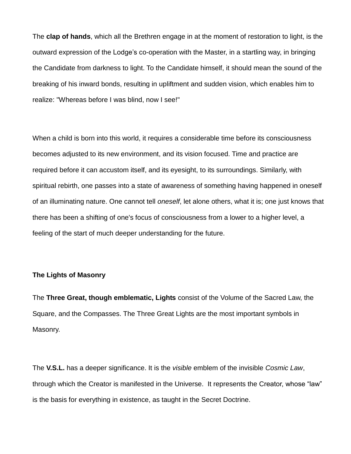The **clap of hands**, which all the Brethren engage in at the moment of restoration to light, is the outward expression of the Lodge's co-operation with the Master, in a startling way, in bringing the Candidate from darkness to light. To the Candidate himself, it should mean the sound of the breaking of his inward bonds, resulting in upliftment and sudden vision, which enables him to realize: "Whereas before I was blind, now I see!"

When a child is born into this world, it requires a considerable time before its consciousness becomes adjusted to its new environment, and its vision focused. Time and practice are required before it can accustom itself, and its eyesight, to its surroundings. Similarly, with spiritual rebirth, one passes into a state of awareness of something having happened in oneself of an illuminating nature. One cannot tell *oneself*, let alone others, what it is; one just knows that there has been a shifting of one's focus of consciousness from a lower to a higher level, a feeling of the start of much deeper understanding for the future.

# **The Lights of Masonry**

The **Three Great, though emblematic, Lights** consist of the Volume of the Sacred Law, the Square, and the Compasses. The Three Great Lights are the most important symbols in Masonry.

The **V.S.L.** has a deeper significance. It is the *visible* emblem of the invisible *Cosmic Law*, through which the Creator is manifested in the Universe. It represents the Creator, whose "law" is the basis for everything in existence, as taught in the Secret Doctrine.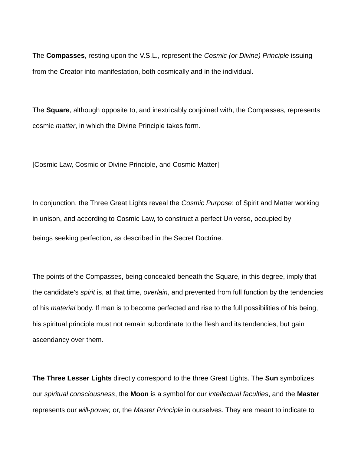The **Compasses**, resting upon the V.S.L., represent the *Cosmic (or Divine) Principle* issuing from the Creator into manifestation, both cosmically and in the individual.

The **Square**, although opposite to, and inextricably conjoined with, the Compasses, represents cosmic *matter*, in which the Divine Principle takes form.

[Cosmic Law, Cosmic or Divine Principle, and Cosmic Matter]

In conjunction, the Three Great Lights reveal the *Cosmic Purpose*: of Spirit and Matter working in unison, and according to Cosmic Law, to construct a perfect Universe, occupied by beings seeking perfection, as described in the Secret Doctrine.

The points of the Compasses, being concealed beneath the Square, in this degree, imply that the candidate's *spirit* is, at that time, *overlain*, and prevented from full function by the tendencies of his *material* body. If man is to become perfected and rise to the full possibilities of his being, his spiritual principle must not remain subordinate to the flesh and its tendencies, but gain ascendancy over them.

**The Three Lesser Lights** directly correspond to the three Great Lights. The **Sun** symbolizes our *spiritual consciousness*, the **Moon** is a symbol for our *intellectual faculties*, and the **Master** represents our *will-power,* or, the *Master Principle* in ourselves. They are meant to indicate to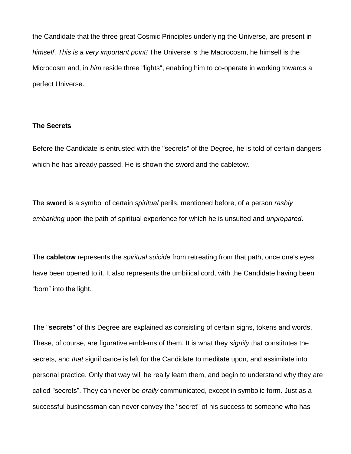the Candidate that the three great Cosmic Principles underlying the Universe, are present in *himself*. *This is a very important point!* The Universe is the Macrocosm, he himself is the Microcosm and, in *him* reside three "lights", enabling him to co-operate in working towards a perfect Universe.

# **The Secrets**

Before the Candidate is entrusted with the "secrets" of the Degree, he is told of certain dangers which he has already passed. He is shown the sword and the cabletow.

The **sword** is a symbol of certain *spiritual* perils, mentioned before, of a person *rashly embarking* upon the path of spiritual experience for which he is unsuited and *unprepared*.

The **cabletow** represents the *spiritual suicide* from retreating from that path, once one's eyes have been opened to it. It also represents the umbilical cord, with the Candidate having been "born" into the light.

The "**secrets**" of this Degree are explained as consisting of certain signs, tokens and words. These, of course, are figurative emblems of them. It is what they *signify* that constitutes the secrets, and *that* significance is left for the Candidate to meditate upon, and assimilate into personal practice. Only that way will he really learn them, and begin to understand why they are called "secrets". They can never be *orally* communicated, except in symbolic form. Just as a successful businessman can never convey the "secret" of his success to someone who has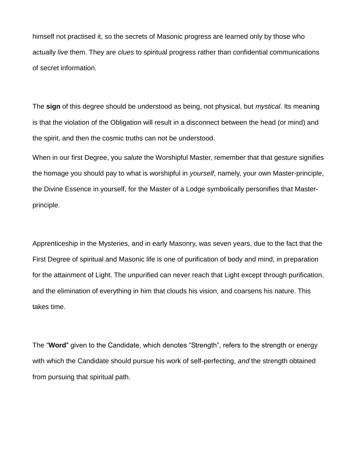himself not practised it, so the secrets of Masonic progress are learned only by those who actually *live* them. They are *clues* to spiritual progress rather than confidential communications of secret information.

The **sign** of this degree should be understood as being, not physical, but *mystical*. Its meaning is that the violation of the Obligation will result in a disconnect between the head (or mind) and the spirit, and then the cosmic truths can not be understood.

When in our first Degree, you *salute* the Worshipful Master, remember that that gesture signifies the homage you should pay to what is worshipful in *yourself*, namely, your own Master-principle, the Divine Essence in yourself, for the Master of a Lodge symbolically personifies that Masterprinciple.

Apprenticeship in the Mysteries, and in early Masonry, was seven years, due to the fact that the First Degree of spiritual and Masonic life is one of purification of body and mind, in preparation for the attainment of Light. The unpurified can never reach that Light except through purification, and the elimination of everything in him that clouds his vision, and coarsens his nature. This takes time.

The "**Word**" given to the Candidate, which denotes "Strength", refers to the strength or energy with which the Candidate should pursue his work of self-perfecting, *and* the strength obtained from pursuing that spiritual path.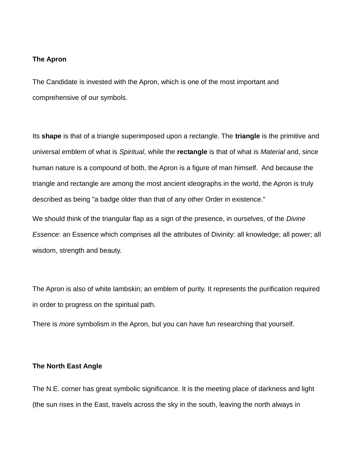#### **The Apron**

The Candidate is invested with the Apron, which is one of the most important and comprehensive of our symbols.

Its **shape** is that of a triangle superimposed upon a rectangle. The **triangle** is the primitive and universal emblem of what is *Spiritual*, while the **rectangle** is that of what is *Material* and, since human nature is a compound of both, the Apron is a figure of man himself. And because the triangle and rectangle are among the most ancient ideographs in the world, the Apron is truly described as being "a badge older than that of any other Order in existence."

We should think of the triangular flap as a sign of the presence, in ourselves, of the *Divine Essence*: an Essence which comprises all the attributes of Divinity: all knowledge; all power; all wisdom, strength and beauty.

The Apron is also of white lambskin; an emblem of purity. It represents the purification required in order to progress on the spiritual path.

There is *more* symbolism in the Apron, but you can have fun researching that yourself.

# **The North East Angle**

The N.E. corner has great symbolic significance. It is the meeting place of darkness and light (the sun rises in the East, travels across the sky in the south, leaving the north always in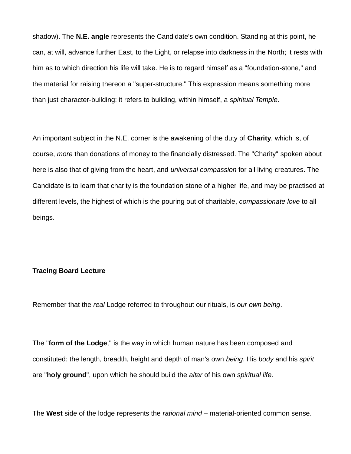shadow). The **N.E. angle** represents the Candidate's own condition. Standing at this point, he can, at will, advance further East, to the Light, or relapse into darkness in the North; it rests with him as to which direction his life will take. He is to regard himself as a "foundation-stone," and the material for raising thereon a "super-structure." This expression means something more than just character-building: it refers to building, within himself, a *spiritual Temple*.

An important subject in the N.E. corner is the awakening of the duty of **Charity**, which is, of course, *more* than donations of money to the financially distressed. The "Charity" spoken about here is also that of giving from the heart, and *universal compassion* for all living creatures. The Candidate is to learn that charity is the foundation stone of a higher life, and may be practised at different levels, the highest of which is the pouring out of charitable, *compassionate love* to all beings.

#### **Tracing Board Lecture**

Remember that the *real* Lodge referred to throughout our rituals, is *our own being*.

The "**form of the Lodge**," is the way in which human nature has been composed and constituted: the length, breadth, height and depth of man's own *being*. His *body* and his *spirit* are "**holy ground**", upon which he should build the *altar* of his own *spiritual life*.

The **West** side of the lodge represents the *rational mind* – material-oriented common sense.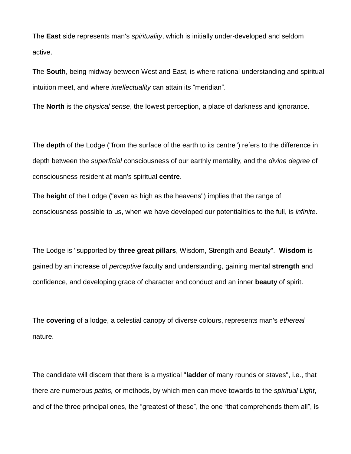The **East** side represents man's *spirituality*, which is initially under-developed and seldom active.

The **South**, being midway between West and East, is where rational understanding and spiritual intuition meet, and where *intellectuality* can attain its "meridian".

The **North** is the *physical sense*, the lowest perception, a place of darkness and ignorance.

The **depth** of the Lodge ("from the surface of the earth to its centre") refers to the difference in depth between the *superficial* consciousness of our earthly mentality, and the *divine degree* of consciousness resident at man's spiritual **centre**.

The **height** of the Lodge ("even as high as the heavens") implies that the range of consciousness possible to us, when we have developed our potentialities to the full, is *infinite*.

The Lodge is "supported by **three great pillars**, Wisdom, Strength and Beauty". **Wisdom** is gained by an increase of *perceptive* faculty and understanding, gaining mental **strength** and confidence, and developing grace of character and conduct and an inner **beauty** of spirit.

The **covering** of a lodge, a celestial canopy of diverse colours, represents man's *ethereal* nature.

The candidate will discern that there is a mystical "**ladder** of many rounds or staves", i.e., that there are numerous *paths,* or methods, by which men can move towards to the *spiritual Light*, and of the three principal ones, the "greatest of these", the one "that comprehends them all", is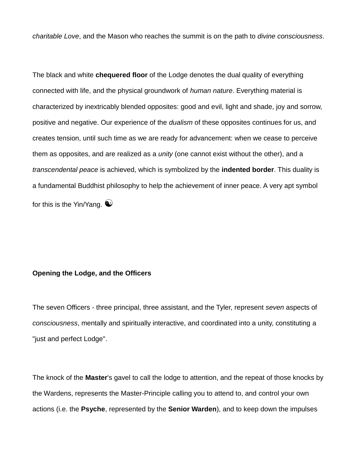*charitable Love*, and the Mason who reaches the summit is on the path to *divine consciousness*.

The black and white **chequered floor** of the Lodge denotes the dual quality of everything connected with life, and the physical groundwork of *human nature*. Everything material is characterized by inextricably blended opposites: good and evil, light and shade, joy and sorrow, positive and negative. Our experience of the *dualism* of these opposites continues for us, and creates tension, until such time as we are ready for advancement: when we cease to perceive them as opposites, and are realized as a *unity* (one cannot exist without the other), and a *transcendental peace* is achieved, which is symbolized by the **indented border**. This duality is a fundamental Buddhist philosophy to help the achievement of inner peace. A very apt symbol for this is the Yin/Yang.  $\bullet$ 

# **Opening the Lodge, and the Officers**

The seven Officers - three principal, three assistant, and the Tyler, represent *seven* aspects of *consciousness*, mentally and spiritually interactive, and coordinated into a unity, constituting a "just and perfect Lodge".

The knock of the **Master**'s gavel to call the lodge to attention, and the repeat of those knocks by the Wardens, represents the Master-Principle calling you to attend to, and control your own actions (i.e. the **Psyche**, represented by the **Senior Warden**), and to keep down the impulses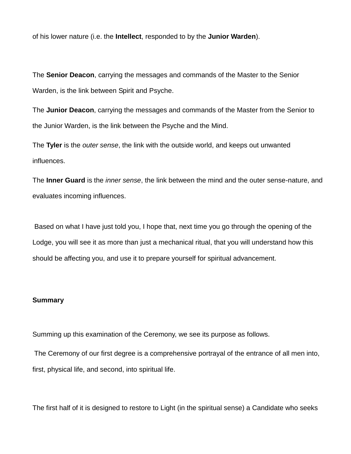of his lower nature (i.e. the **Intellect**, responded to by the **Junior Warden**).

The **Senior Deacon**, carrying the messages and commands of the Master to the Senior Warden, is the link between Spirit and Psyche.

The **Junior Deacon**, carrying the messages and commands of the Master from the Senior to the Junior Warden, is the link between the Psyche and the Mind.

The **Tyler** is the *outer sense*, the link with the outside world, and keeps out unwanted influences.

The **Inner Guard** is the *inner sense*, the link between the mind and the outer sense-nature, and evaluates incoming influences.

Based on what I have just told you, I hope that, next time you go through the opening of the Lodge, you will see it as more than just a mechanical ritual, that you will understand how this should be affecting you, and use it to prepare yourself for spiritual advancement.

# **Summary**

Summing up this examination of the Ceremony, we see its purpose as follows.

The Ceremony of our first degree is a comprehensive portrayal of the entrance of all men into, first, physical life, and second, into spiritual life.

The first half of it is designed to restore to Light (in the spiritual sense) a Candidate who seeks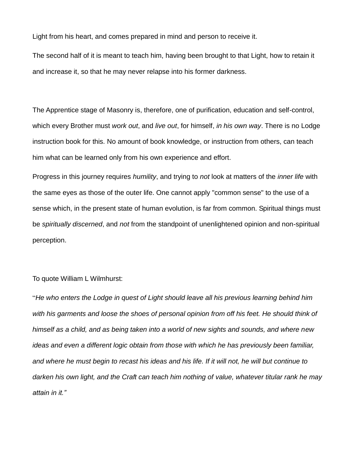Light from his heart, and comes prepared in mind and person to receive it.

The second half of it is meant to teach him, having been brought to that Light, how to retain it and increase it, so that he may never relapse into his former darkness.

The Apprentice stage of Masonry is, therefore, one of purification, education and self-control, which every Brother must *work out*, and *live out*, for himself, *in his own way*. There is no Lodge instruction book for this. No amount of book knowledge, or instruction from others, can teach him what can be learned only from his own experience and effort.

Progress in this journey requires *humility*, and trying to *not* look at matters of the *inner life* with the same eyes as those of the outer life. One cannot apply "common sense" to the use of a sense which, in the present state of human evolution, is far from common. Spiritual things must be *spiritually discerned*, and *not* from the standpoint of unenlightened opinion and non-spiritual perception.

# To quote William L Wilmhurst:

"*He who enters the Lodge in quest of Light should leave all his previous learning behind him*  with his garments and loose the shoes of personal opinion from off his feet. He should think of *himself as a child, and as being taken into a world of new sights and sounds, and where new ideas and even a different logic obtain from those with which he has previously been familiar, and where he must begin to recast his ideas and his life. If it will not, he will but continue to darken his own light, and the Craft can teach him nothing of value, whatever titular rank he may attain in it."*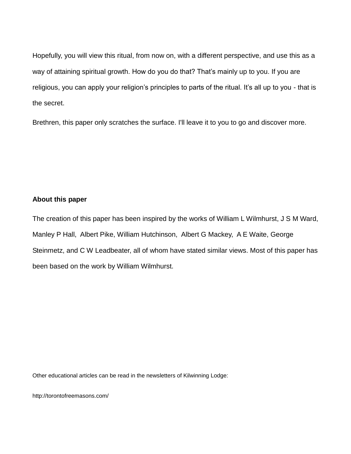Hopefully, you will view this ritual, from now on, with a different perspective, and use this as a way of attaining spiritual growth. How do you do that? That's mainly up to you. If you are religious, you can apply your religion's principles to parts of the ritual. It's all up to you - that is the secret.

Brethren, this paper only scratches the surface. I'll leave it to you to go and discover more.

# **About this paper**

The creation of this paper has been inspired by the works of William L Wilmhurst, J S M Ward, Manley P Hall, Albert Pike, William Hutchinson, Albert G Mackey, A E Waite, George Steinmetz, and C W Leadbeater, all of whom have stated similar views. Most of this paper has been based on the work by William Wilmhurst.

Other educational articles can be read in the newsletters of Kilwinning Lodge:

http://torontofreemasons.com/